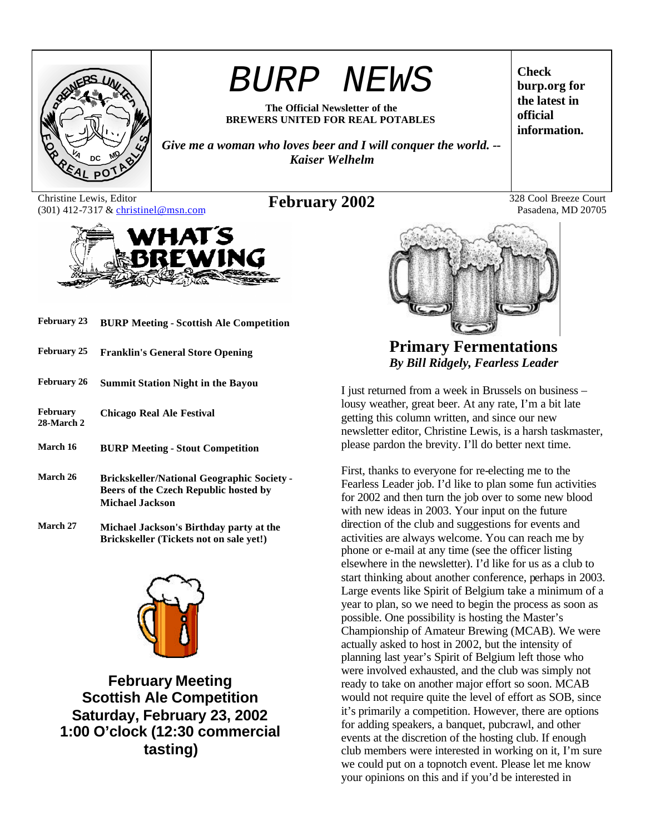

# *BURP NEWS*

**The Official Newsletter of the BREWERS UNITED FOR REAL POTABLES**

*Give me a woman who loves beer and I will conquer the world. -- Kaiser Welhelm*

Christine Lewis, Editor Christine Lewis, Editor **February 2002** 328 Cool Breeze Court (301) 412-7317 & christinel@msn.com **February 2002** 



- **February 23 BURP Meeting Scottish Ale Competition**
- **February 25 Franklin's General Store Opening**
- **February 26 Summit Station Night in the Bayou**
- **February 28-March 2 Chicago Real Ale Festival**
- **March 16 BURP Meeting Stout Competition**
- **March 26 Brickskeller/National Geographic Society - Beers of the Czech Republic hosted by Michael Jackson**
- **March 27 Michael Jackson's Birthday party at the Brickskeller (Tickets not on sale yet!)**



**February Meeting Scottish Ale Competition Saturday, February 23, 2002 1:00 O'clock (12:30 commercial tasting)**

**Check burp.org for the latest in official information.**

Pasadena, MD 20705



**Primary Fermentations** *By Bill Ridgely, Fearless Leader*

I just returned from a week in Brussels on business – lousy weather, great beer. At any rate, I'm a bit late getting this column written, and since our new newsletter editor, Christine Lewis, is a harsh taskmaster, please pardon the brevity. I'll do better next time.

First, thanks to everyone for re-electing me to the Fearless Leader job. I'd like to plan some fun activities for 2002 and then turn the job over to some new blood with new ideas in 2003. Your input on the future direction of the club and suggestions for events and activities are always welcome. You can reach me by phone or e-mail at any time (see the officer listing elsewhere in the newsletter). I'd like for us as a club to start thinking about another conference, perhaps in 2003. Large events like Spirit of Belgium take a minimum of a year to plan, so we need to begin the process as soon as possible. One possibility is hosting the Master's Championship of Amateur Brewing (MCAB). We were actually asked to host in 2002, but the intensity of planning last year's Spirit of Belgium left those who were involved exhausted, and the club was simply not ready to take on another major effort so soon. MCAB would not require quite the level of effort as SOB, since it's primarily a competition. However, there are options for adding speakers, a banquet, pubcrawl, and other events at the discretion of the hosting club. If enough club members were interested in working on it, I'm sure we could put on a topnotch event. Please let me know your opinions on this and if you'd be interested in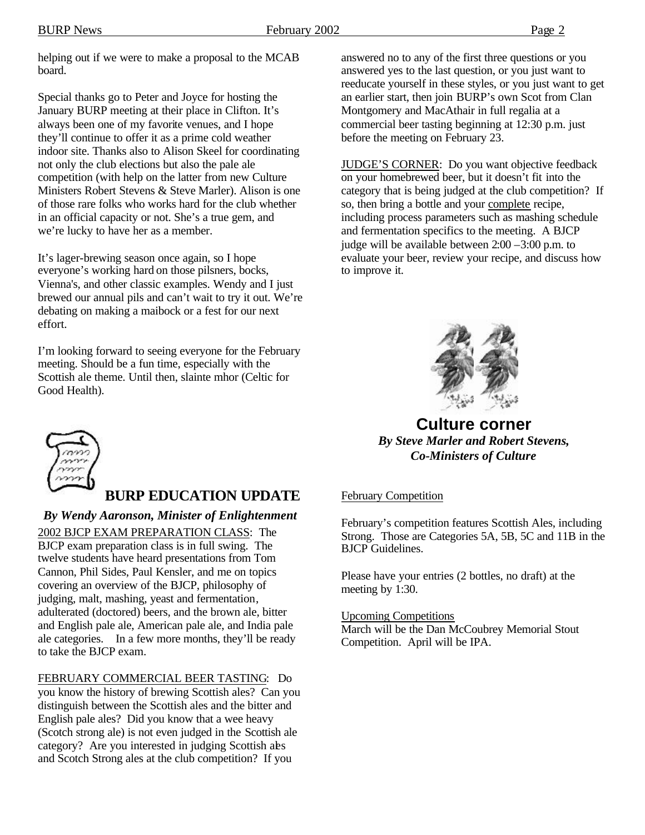helping out if we were to make a proposal to the MCAB board.

Special thanks go to Peter and Joyce for hosting the January BURP meeting at their place in Clifton. It's always been one of my favorite venues, and I hope they'll continue to offer it as a prime cold weather indoor site. Thanks also to Alison Skeel for coordinating not only the club elections but also the pale ale competition (with help on the latter from new Culture Ministers Robert Stevens & Steve Marler). Alison is one of those rare folks who works hard for the club whether in an official capacity or not. She's a true gem, and we're lucky to have her as a member.

It's lager-brewing season once again, so I hope everyone's working hard on those pilsners, bocks, Vienna's, and other classic examples. Wendy and I just brewed our annual pils and can't wait to try it out. We're debating on making a maibock or a fest for our next effort.

I'm looking forward to seeing everyone for the February meeting. Should be a fun time, especially with the Scottish ale theme. Until then, slainte mhor (Celtic for Good Health).



# **BURP EDUCATION UPDATE**

*By Wendy Aaronson, Minister of Enlightenment*

2002 BJCP EXAM PREPARATION CLASS: The BJCP exam preparation class is in full swing. The twelve students have heard presentations from Tom Cannon, Phil Sides, Paul Kensler, and me on topics covering an overview of the BJCP, philosophy of judging, malt, mashing, yeast and fermentation, adulterated (doctored) beers, and the brown ale, bitter and English pale ale, American pale ale, and India pale ale categories. In a few more months, they'll be ready to take the BJCP exam.

FEBRUARY COMMERCIAL BEER TASTING: Do you know the history of brewing Scottish ales? Can you distinguish between the Scottish ales and the bitter and English pale ales? Did you know that a wee heavy (Scotch strong ale) is not even judged in the Scottish ale category? Are you interested in judging Scottish ales and Scotch Strong ales at the club competition? If you

answered no to any of the first three questions or you answered yes to the last question, or you just want to reeducate yourself in these styles, or you just want to get an earlier start, then join BURP's own Scot from Clan Montgomery and MacAthair in full regalia at a commercial beer tasting beginning at 12:30 p.m. just before the meeting on February 23.

JUDGE'S CORNER: Do you want objective feedback on your homebrewed beer, but it doesn't fit into the category that is being judged at the club competition? If so, then bring a bottle and your complete recipe, including process parameters such as mashing schedule and fermentation specifics to the meeting. A BJCP judge will be available between 2:00 –3:00 p.m. to evaluate your beer, review your recipe, and discuss how to improve it.



**Culture corner** *By Steve Marler and Robert Stevens, Co-Ministers of Culture*

## February Competition

February's competition features Scottish Ales, including Strong. Those are Categories 5A, 5B, 5C and 11B in the BJCP Guidelines.

Please have your entries (2 bottles, no draft) at the meeting by 1:30.

Upcoming Competitions

March will be the Dan McCoubrey Memorial Stout Competition. April will be IPA.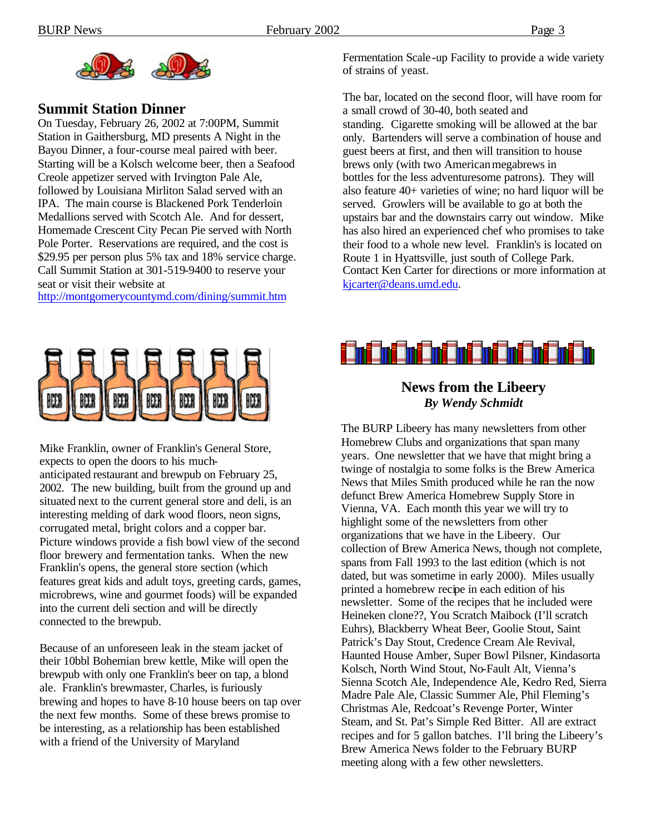

## **Summit Station Dinner**

On Tuesday, February 26, 2002 at 7:00PM, Summit Station in Gaithersburg, MD presents A Night in the Bayou Dinner, a four-course meal paired with beer. Starting will be a Kolsch welcome beer, then a Seafood Creole appetizer served with Irvington Pale Ale, followed by Louisiana Mirliton Salad served with an IPA. The main course is Blackened Pork Tenderloin Medallions served with Scotch Ale. And for dessert, Homemade Crescent City Pecan Pie served with North Pole Porter. Reservations are required, and the cost is \$29.95 per person plus 5% tax and 18% service charge. Call Summit Station at 301-519-9400 to reserve your seat or visit their website at

http://montgomerycountymd.com/dining/summit.htm



Mike Franklin, owner of Franklin's General Store, expects to open the doors to his muchanticipated restaurant and brewpub on February 25, 2002. The new building, built from the ground up and situated next to the current general store and deli, is an interesting melding of dark wood floors, neon signs, corrugated metal, bright colors and a copper bar. Picture windows provide a fish bowl view of the second floor brewery and fermentation tanks. When the new Franklin's opens, the general store section (which features great kids and adult toys, greeting cards, games, microbrews, wine and gourmet foods) will be expanded into the current deli section and will be directly connected to the brewpub.

Because of an unforeseen leak in the steam jacket of their 10bbl Bohemian brew kettle, Mike will open the brewpub with only one Franklin's beer on tap, a blond ale. Franklin's brewmaster, Charles, is furiously brewing and hopes to have 8-10 house beers on tap over the next few months. Some of these brews promise to be interesting, as a relationship has been established with a friend of the University of Maryland

Fermentation Scale -up Facility to provide a wide variety of strains of yeast.

The bar, located on the second floor, will have room for a small crowd of 30-40, both seated and standing. Cigarette smoking will be allowed at the bar only. Bartenders will serve a combination of house and guest beers at first, and then will transition to house brews only (with two American megabrews in bottles for the less adventuresome patrons). They will also feature 40+ varieties of wine; no hard liquor will be served. Growlers will be available to go at both the upstairs bar and the downstairs carry out window. Mike has also hired an experienced chef who promises to take their food to a whole new level. Franklin's is located on Route 1 in Hyattsville, just south of College Park. Contact Ken Carter for directions or more information at kjcarter@deans.umd.edu.



## **News from the Libeery** *By Wendy Schmidt*

The BURP Libeery has many newsletters from other Homebrew Clubs and organizations that span many years. One newsletter that we have that might bring a twinge of nostalgia to some folks is the Brew America News that Miles Smith produced while he ran the now defunct Brew America Homebrew Supply Store in Vienna, VA. Each month this year we will try to highlight some of the newsletters from other organizations that we have in the Libeery. Our collection of Brew America News, though not complete, spans from Fall 1993 to the last edition (which is not dated, but was sometime in early 2000). Miles usually printed a homebrew recipe in each edition of his newsletter. Some of the recipes that he included were Heineken clone??, You Scratch Maibock (I'll scratch Euhrs), Blackberry Wheat Beer, Goolie Stout, Saint Patrick's Day Stout, Credence Cream Ale Revival, Haunted House Amber, Super Bowl Pilsner, Kindasorta Kolsch, North Wind Stout, No-Fault Alt, Vienna's Sienna Scotch Ale, Independence Ale, Kedro Red, Sierra Madre Pale Ale, Classic Summer Ale, Phil Fleming's Christmas Ale, Redcoat's Revenge Porter, Winter Steam, and St. Pat's Simple Red Bitter. All are extract recipes and for 5 gallon batches. I'll bring the Libeery's Brew America News folder to the February BURP meeting along with a few other newsletters.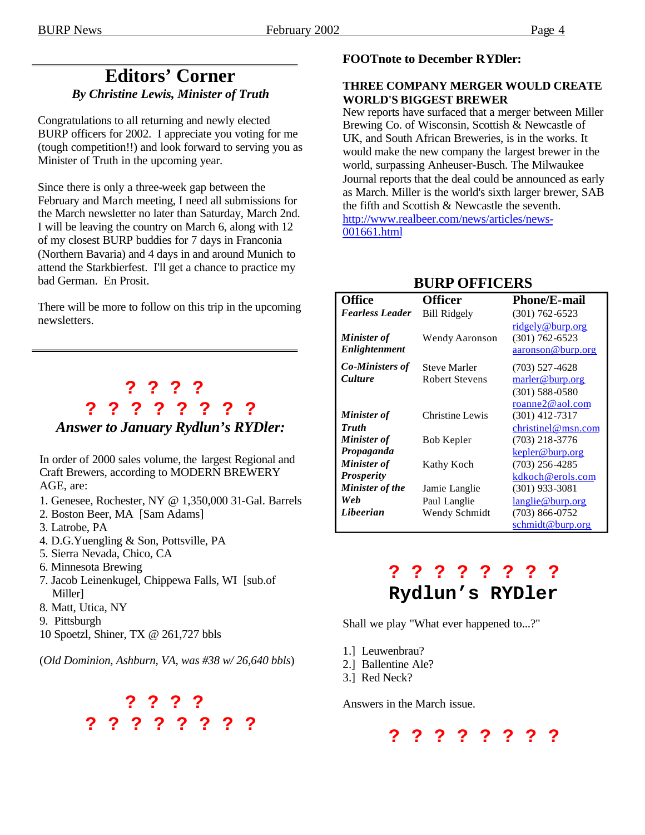# **Editors' Corner** *By Christine Lewis, Minister of Truth*

Congratulations to all returning and newly elected BURP officers for 2002. I appreciate you voting for me (tough competition!!) and look forward to serving you as Minister of Truth in the upcoming year.

Since there is only a three-week gap between the February and March meeting, I need all submissions for the March newsletter no later than Saturday, March 2nd. I will be leaving the country on March 6, along with 12 of my closest BURP buddies for 7 days in Franconia (Northern Bavaria) and 4 days in and around Munich to attend the Starkbierfest. I'll get a chance to practice my bad German. En Prosit.

There will be more to follow on this trip in the upcoming newsletters.

# **? ? ? ? ? ? ? ? ? ? ? ?**  *Answer to January Rydlun's RYDler:*

In order of 2000 sales volume, the largest Regional and Craft Brewers, according to MODERN BREWERY AGE, are:

- 1. Genesee, Rochester, NY @ 1,350,000 31-Gal. Barrels
- 2. Boston Beer, MA [Sam Adams]
- 3. Latrobe, PA
- 4. D.G.Yuengling & Son, Pottsville, PA
- 5. Sierra Nevada, Chico, CA
- 6. Minnesota Brewing
- 7. Jacob Leinenkugel, Chippewa Falls, WI [sub.of Miller]
- 8. Matt, Utica, NY
- 9. Pittsburgh
- 10 Spoetzl, Shiner, TX @ 261,727 bbls

(*Old Dominion, Ashburn, VA, was #38 w/ 26,640 bbls*)



## **FOOTnote to December RYDler:**

#### **THREE COMPANY MERGER WOULD CREATE WORLD'S BIGGEST BREWER**

New reports have surfaced that a merger between Miller Brewing Co. of Wisconsin, Scottish  $\&$  Newcastle of UK, and South African Breweries, is in the works. It would make the new company the largest brewer in the world, surpassing Anheuser-Busch. The Milwaukee Journal reports that the deal could be announced as early as March. Miller is the world's sixth larger brewer, SAB the fifth and Scottish & Newcastle the seventh. http://www.realbeer.com/news/articles/news-001661.html

| <b>Office</b>          | <b>Officer</b>        | <b>Phone/E-mail</b> |
|------------------------|-----------------------|---------------------|
| <b>Fearless Leader</b> | <b>Bill Ridgely</b>   | $(301) 762 - 6523$  |
|                        |                       | ridgely@burp.org    |
| <b>Minister</b> of     | Wendy Aaronson        | $(301) 762 - 6523$  |
| Enlightenment          |                       | aaronson@burp.org   |
| <b>Co-Ministers of</b> | <b>Steve Marler</b>   | $(703)$ 527-4628    |
| <i>Culture</i>         | <b>Robert Stevens</b> | marler@burp.org     |
|                        |                       | $(301)$ 588-0580    |
|                        |                       | roanne2@aol.com     |
| <b>Minister</b> of     | Christine Lewis       | $(301)$ 412-7317    |
| <b>Truth</b>           |                       | christinel@msn.com  |
| <b>Minister</b> of     | Bob Kepler            | (703) 218-3776      |
| Propaganda             |                       | kepler@burp.org     |
| Minister of            | Kathy Koch            | $(703)$ 256-4285    |
| <b>Prosperity</b>      |                       | kdkoch@erols.com    |
| Minister of the        | Jamie Langlie         | (301) 933-3081      |
| Web                    | Paul Langlie          | langlie@burp.org    |
| Libeerian              | Wendy Schmidt         | (703) 866-0752      |
|                        |                       | schmidt@burp.org    |

# **BURP OFFICERS**

# **? ? ? ? ? ? ? ? Rydlun's RYDler**

Shall we play "What ever happened to...?"

- 1.] Leuwenbrau?
- 2.] Ballentine Ale?
- 3.] Red Neck?

Answers in the March issue.

**? ? ? ? ? ? ? ?**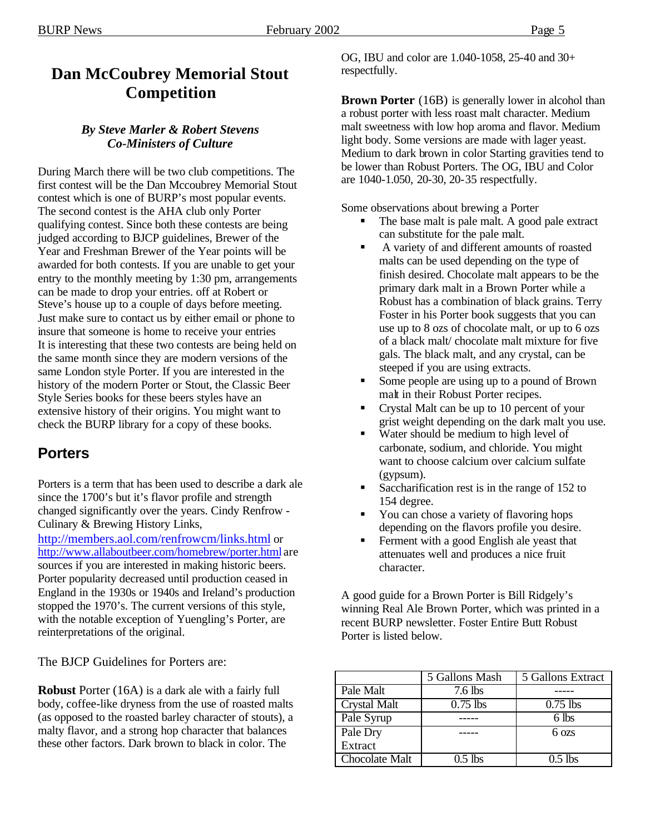# **Dan McCoubrey Memorial Stout Competition**

## *By Steve Marler & Robert Stevens Co-Ministers of Culture*

During March there will be two club competitions. The first contest will be the Dan Mccoubrey Memorial Stout contest which is one of BURP's most popular events. The second contest is the AHA club only Porter qualifying contest. Since both these contests are being judged according to BJCP guidelines, Brewer of the Year and Freshman Brewer of the Year points will be awarded for both contests. If you are unable to get your entry to the monthly meeting by 1:30 pm, arrangements can be made to drop your entries. off at Robert or Steve's house up to a couple of days before meeting. Just make sure to contact us by either email or phone to insure that someone is home to receive your entries It is interesting that these two contests are being held on the same month since they are modern versions of the same London style Porter. If you are interested in the history of the modern Porter or Stout, the Classic Beer Style Series books for these beers styles have an extensive history of their origins. You might want to check the BURP library for a copy of these books.

# **Porters**

Porters is a term that has been used to describe a dark ale since the 1700's but it's flavor profile and strength changed significantly over the years. Cindy Renfrow - Culinary & Brewing History Links,

http://members.aol.com/renfrowcm/links.html or http://www.allaboutbeer.com/homebrew/porter.html are sources if you are interested in making historic beers. Porter popularity decreased until production ceased in England in the 1930s or 1940s and Ireland's production stopped the 1970's. The current versions of this style, with the notable exception of Yuengling's Porter, are reinterpretations of the original.

The BJCP Guidelines for Porters are:

**Robust** Porter (16A) is a dark ale with a fairly full body, coffee-like dryness from the use of roasted malts (as opposed to the roasted barley character of stouts), a malty flavor, and a strong hop character that balances these other factors. Dark brown to black in color. The

OG, IBU and color are 1.040-1058, 25-40 and 30+ respectfully.

**Brown Porter** (16B) is generally lower in alcohol than a robust porter with less roast malt character. Medium malt sweetness with low hop aroma and flavor. Medium light body. Some versions are made with lager yeast. Medium to dark brown in color Starting gravities tend to be lower than Robust Porters. The OG, IBU and Color are 1040-1.050, 20-30, 20-35 respectfully.

Some observations about brewing a Porter

- The base malt is pale malt. A good pale extract can substitute for the pale malt.
- ß A variety of and different amounts of roasted malts can be used depending on the type of finish desired. Chocolate malt appears to be the primary dark malt in a Brown Porter while a Robust has a combination of black grains. Terry Foster in his Porter book suggests that you can use up to 8 ozs of chocolate malt, or up to 6 ozs of a black malt/ chocolate malt mixture for five gals. The black malt, and any crystal, can be steeped if you are using extracts.
- ß Some people are using up to a pound of Brown malt in their Robust Porter recipes.
- ß Crystal Malt can be up to 10 percent of your grist weight depending on the dark malt you use.
- Water should be medium to high level of carbonate, sodium, and chloride. You might want to choose calcium over calcium sulfate (gypsum).
- ß Saccharification rest is in the range of 152 to 154 degree.
- You can chose a variety of flavoring hops depending on the flavors profile you desire.
- ß Ferment with a good English ale yeast that attenuates well and produces a nice fruit character.

A good guide for a Brown Porter is Bill Ridgely's winning Real Ale Brown Porter, which was printed in a recent BURP newsletter. Foster Entire Butt Robust Porter is listed below.

|                     | 5 Gallons Mash | 5 Gallons Extract |
|---------------------|----------------|-------------------|
| Pale Malt           | 7.6 lbs        |                   |
| <b>Crystal Malt</b> | $0.75$ lbs     | $0.75$ lbs        |
| Pale Syrup          |                | 6 lbs             |
| Pale Dry            |                | $6 \text{ ozs}$   |
| Extract             |                |                   |
| Chocolate Malt      | $0.5$ lbs      | $0.5$ lbs         |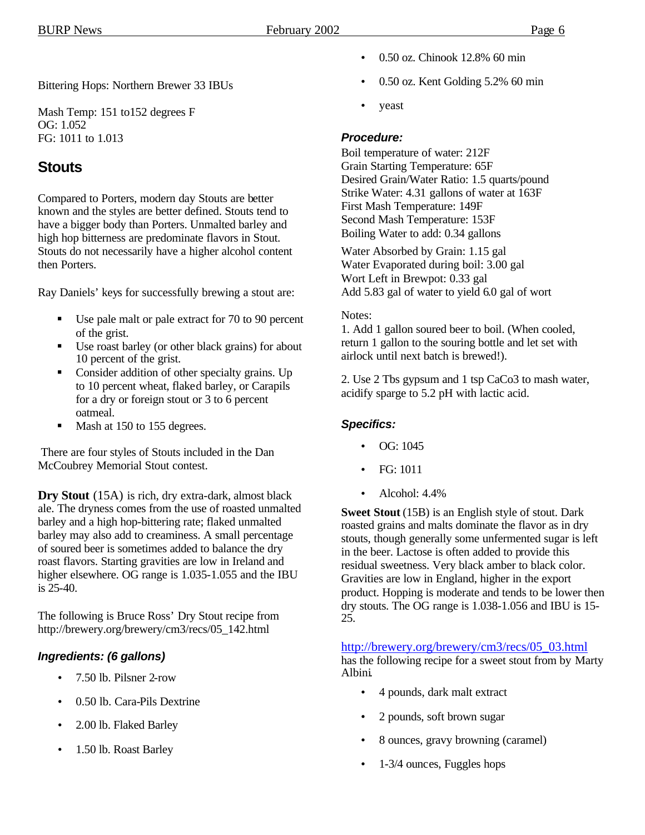Bittering Hops: Northern Brewer 33 IBUs

Mash Temp: 151 to152 degrees F OG: 1.052 FG: 1011 to 1.013

## **Stouts**

Compared to Porters, modern day Stouts are better known and the styles are better defined. Stouts tend to have a bigger body than Porters. Unmalted barley and high hop bitterness are predominate flavors in Stout. Stouts do not necessarily have a higher alcohol content then Porters.

Ray Daniels' keys for successfully brewing a stout are:

- Use pale malt or pale extract for 70 to 90 percent of the grist.
- **■** Use roast barley (or other black grains) for about 10 percent of the grist.
- Consider addition of other specialty grains. Up to 10 percent wheat, flaked barley, or Carapils for a dry or foreign stout or 3 to 6 percent oatmeal.
- Mash at 150 to 155 degrees.

 There are four styles of Stouts included in the Dan McCoubrey Memorial Stout contest.

**Dry Stout** (15A) is rich, dry extra-dark, almost black ale. The dryness comes from the use of roasted unmalted barley and a high hop-bittering rate; flaked unmalted barley may also add to creaminess. A small percentage of soured beer is sometimes added to balance the dry roast flavors. Starting gravities are low in Ireland and higher elsewhere. OG range is 1.035-1.055 and the IBU is 25-40.

The following is Bruce Ross' Dry Stout recipe from http://brewery.org/brewery/cm3/recs/05\_142.html

## *Ingredients: (6 gallons)*

- 7.50 lb. Pilsner 2-row
- 0.50 lb. Cara-Pils Dextrine
- 2.00 lb. Flaked Barley
- 1.50 lb. Roast Barley
- 0.50 oz. Chinook 12.8% 60 min
- 0.50 oz. Kent Golding 5.2% 60 min
- yeast

## *Procedure:*

Boil temperature of water: 212F Grain Starting Temperature: 65F Desired Grain/Water Ratio: 1.5 quarts/pound Strike Water: 4.31 gallons of water at 163F First Mash Temperature: 149F Second Mash Temperature: 153F Boiling Water to add: 0.34 gallons

Water Absorbed by Grain: 1.15 gal Water Evaporated during boil: 3.00 gal Wort Left in Brewpot: 0.33 gal Add 5.83 gal of water to yield 6.0 gal of wort

#### Notes:

1. Add 1 gallon soured beer to boil. (When cooled, return 1 gallon to the souring bottle and let set with airlock until next batch is brewed!).

2. Use 2 Tbs gypsum and 1 tsp CaCo3 to mash water, acidify sparge to 5.2 pH with lactic acid.

## *Specifics:*

- OG: 1045
- FG: 1011
- Alcohol:  $4.4\%$

**Sweet Stout** (15B) is an English style of stout. Dark roasted grains and malts dominate the flavor as in dry stouts, though generally some unfermented sugar is left in the beer. Lactose is often added to provide this residual sweetness. Very black amber to black color. Gravities are low in England, higher in the export product. Hopping is moderate and tends to be lower then dry stouts. The OG range is 1.038-1.056 and IBU is 15- 25.

## http://brewery.org/brewery/cm3/recs/05\_03.html

has the following recipe for a sweet stout from by Marty Albini.

- 4 pounds, dark malt extract
- 2 pounds, soft brown sugar
- 8 ounces, gravy browning (caramel)
- 1-3/4 ounces, Fuggles hops